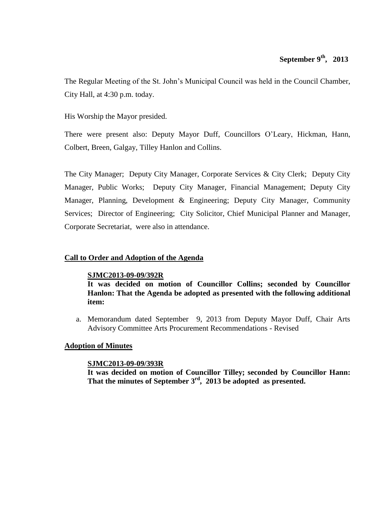# **September 9<sup>th</sup>, 2013**

The Regular Meeting of the St. John's Municipal Council was held in the Council Chamber, City Hall, at 4:30 p.m. today.

His Worship the Mayor presided.

There were present also: Deputy Mayor Duff, Councillors O'Leary, Hickman, Hann, Colbert, Breen, Galgay, Tilley Hanlon and Collins.

The City Manager; Deputy City Manager, Corporate Services & City Clerk; Deputy City Manager, Public Works; Deputy City Manager, Financial Management; Deputy City Manager, Planning, Development & Engineering; Deputy City Manager, Community Services; Director of Engineering; City Solicitor, Chief Municipal Planner and Manager, Corporate Secretariat, were also in attendance.

# **Call to Order and Adoption of the Agenda**

#### **SJMC2013-09-09/392R**

**It was decided on motion of Councillor Collins; seconded by Councillor Hanlon: That the Agenda be adopted as presented with the following additional item:**

a. Memorandum dated September 9, 2013 from Deputy Mayor Duff, Chair Arts Advisory Committee Arts Procurement Recommendations - Revised

# **Adoption of Minutes**

#### **SJMC2013-09-09/393R**

**It was decided on motion of Councillor Tilley; seconded by Councillor Hann: That the minutes of September 3rd , 2013 be adopted as presented.**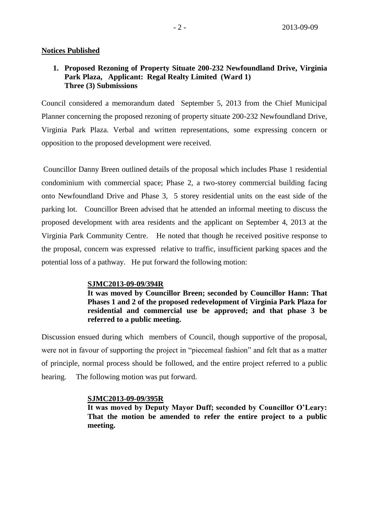#### **Notices Published**

## **1. Proposed Rezoning of Property Situate 200-232 Newfoundland Drive, Virginia Park Plaza, Applicant: Regal Realty Limited (Ward 1) Three (3) Submissions**

Council considered a memorandum dated September 5, 2013 from the Chief Municipal Planner concerning the proposed rezoning of property situate 200-232 Newfoundland Drive, Virginia Park Plaza. Verbal and written representations, some expressing concern or opposition to the proposed development were received.

Councillor Danny Breen outlined details of the proposal which includes Phase 1 residential condominium with commercial space; Phase 2, a two-storey commercial building facing onto Newfoundland Drive and Phase 3, 5 storey residential units on the east side of the parking lot. Councillor Breen advised that he attended an informal meeting to discuss the proposed development with area residents and the applicant on September 4, 2013 at the Virginia Park Community Centre. He noted that though he received positive response to the proposal, concern was expressed relative to traffic, insufficient parking spaces and the potential loss of a pathway. He put forward the following motion:

#### **SJMC2013-09-09/394R**

**It was moved by Councillor Breen; seconded by Councillor Hann: That Phases 1 and 2 of the proposed redevelopment of Virginia Park Plaza for residential and commercial use be approved; and that phase 3 be referred to a public meeting.**

Discussion ensued during which members of Council, though supportive of the proposal, were not in favour of supporting the project in "piecemeal fashion" and felt that as a matter of principle, normal process should be followed, and the entire project referred to a public hearing. The following motion was put forward.

#### **SJMC2013-09-09/395R**

**It was moved by Deputy Mayor Duff; seconded by Councillor O'Leary: That the motion be amended to refer the entire project to a public meeting.**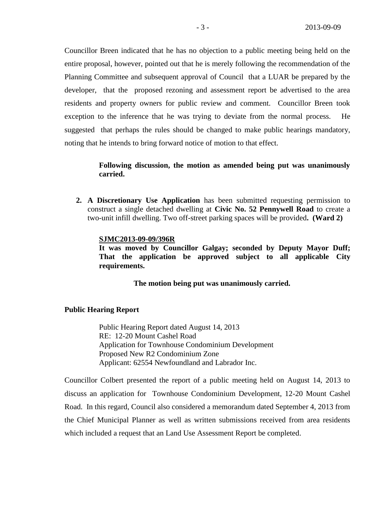Councillor Breen indicated that he has no objection to a public meeting being held on the entire proposal, however, pointed out that he is merely following the recommendation of the Planning Committee and subsequent approval of Council that a LUAR be prepared by the developer, that the proposed rezoning and assessment report be advertised to the area residents and property owners for public review and comment. Councillor Breen took exception to the inference that he was trying to deviate from the normal process. He suggested that perhaps the rules should be changed to make public hearings mandatory, noting that he intends to bring forward notice of motion to that effect.

# **Following discussion, the motion as amended being put was unanimously carried.**

**2. A Discretionary Use Application** has been submitted requesting permission to construct a single detached dwelling at **Civic No. 52 Pennywell Road** to create a two-unit infill dwelling. Two off-street parking spaces will be provided**. (Ward 2)**

#### **SJMC2013-09-09/396R**

**It was moved by Councillor Galgay; seconded by Deputy Mayor Duff; That the application be approved subject to all applicable City requirements.**

**The motion being put was unanimously carried.**

#### **Public Hearing Report**

Public Hearing Report dated August 14, 2013 RE: 12-20 Mount Cashel Road Application for Townhouse Condominium Development Proposed New R2 Condominium Zone Applicant: 62554 Newfoundland and Labrador Inc.

Councillor Colbert presented the report of a public meeting held on August 14, 2013 to discuss an application for Townhouse Condominium Development, 12-20 Mount Cashel Road. In this regard, Council also considered a memorandum dated September 4, 2013 from the Chief Municipal Planner as well as written submissions received from area residents which included a request that an Land Use Assessment Report be completed.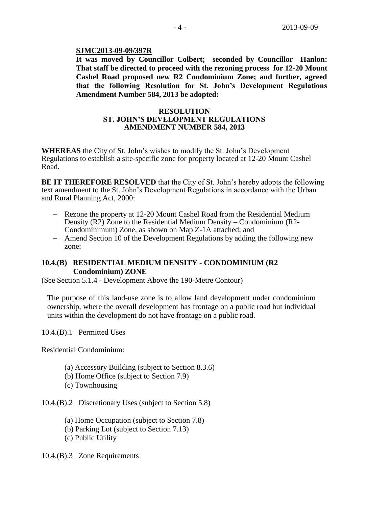#### **SJMC2013-09-09/397R**

**It was moved by Councillor Colbert; seconded by Councillor Hanlon: That staff be directed to proceed with the rezoning process for 12-20 Mount Cashel Road proposed new R2 Condominium Zone; and further, agreed that the following Resolution for St. John's Development Regulations Amendment Number 584, 2013 be adopted:**

#### **RESOLUTION ST. JOHN'S DEVELOPMENT REGULATIONS AMENDMENT NUMBER 584, 2013**

**WHEREAS** the City of St. John's wishes to modify the St. John's Development Regulations to establish a site-specific zone for property located at 12-20 Mount Cashel Road.

**BE IT THEREFORE RESOLVED** that the City of St. John's hereby adopts the following text amendment to the St. John's Development Regulations in accordance with the Urban and Rural Planning Act, 2000:

- Rezone the property at 12-20 Mount Cashel Road from the Residential Medium Density (R2) Zone to the Residential Medium Density – Condominium (R2- Condominimum) Zone, as shown on Map Z-1A attached; and
- Amend Section 10 of the Development Regulations by adding the following new zone:

## **10.4.(B) RESIDENTIAL MEDIUM DENSITY - CONDOMINIUM (R2 Condominium) ZONE**

(See Section 5.1.4 - Development Above the 190-Metre Contour)

The purpose of this land-use zone is to allow land development under condominium ownership, where the overall development has frontage on a public road but individual units within the development do not have frontage on a public road.

10.4.(B).1 Permitted Uses

Residential Condominium:

- (a) Accessory Building (subject to Section 8.3.6)
- (b) Home Office (subject to Section 7.9)
- (c) Townhousing

10.4.(B).2 Discretionary Uses (subject to Section 5.8)

- (a) Home Occupation (subject to Section 7.8)
- (b) Parking Lot (subject to Section 7.13)
- (c) Public Utility

10.4.(B).3 Zone Requirements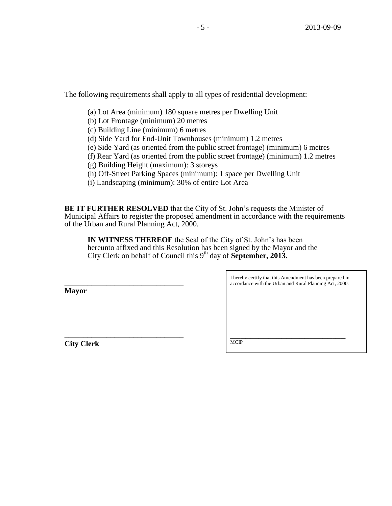The following requirements shall apply to all types of residential development:

- (a) Lot Area (minimum) 180 square metres per Dwelling Unit
- (b) Lot Frontage (minimum) 20 metres
- (c) Building Line (minimum) 6 metres
- (d) Side Yard for End-Unit Townhouses (minimum) 1.2 metres
- (e) Side Yard (as oriented from the public street frontage) (minimum) 6 metres
- (f) Rear Yard (as oriented from the public street frontage) (minimum) 1.2 metres
- (g) Building Height (maximum): 3 storeys
- (h) Off-Street Parking Spaces (minimum): 1 space per Dwelling Unit
- (i) Landscaping (minimum): 30% of entire Lot Area

**BE IT FURTHER RESOLVED** that the City of St. John's requests the Minister of Municipal Affairs to register the proposed amendment in accordance with the requirements of the Urban and Rural Planning Act, 2000.

**IN WITNESS THEREOF** the Seal of the City of St. John's has been hereunto affixed and this Resolution has been signed by the Mayor and the City Clerk on behalf of Council this 9th day of **September, 2013.**

**Mayor**

**\_\_\_\_\_\_\_\_\_\_\_\_\_\_\_\_\_\_\_\_\_\_\_\_\_\_\_\_\_\_\_**

**\_\_\_\_\_\_\_\_\_\_\_\_\_\_\_\_\_\_\_\_\_\_\_\_\_\_\_\_\_\_\_**

**City Clerk**

I hereby certify that this Amendment has been prepared in accordance with the Urban and Rural Planning Act, 2000.

\_\_\_\_\_\_\_\_\_\_\_\_\_\_\_\_\_\_\_\_\_\_\_\_\_\_\_\_\_\_\_\_\_\_\_\_\_\_\_\_\_\_\_\_\_ **MCIP**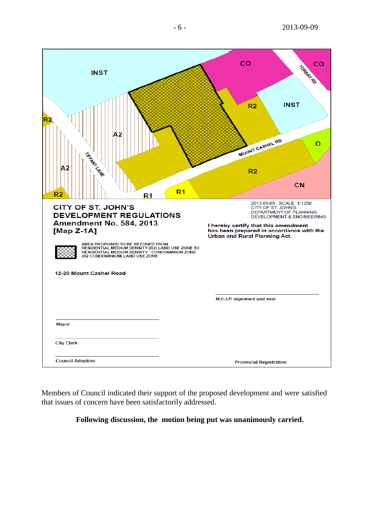| <b>INST</b><br>Α2<br>TARRANT LANG<br>A2<br>R <sub>1</sub><br>R2<br>R <sub>1</sub>                                                                                                                                                                                                  | CO<br>CO<br>TORBAL RD<br><b>INST</b><br>R2<br>MOUNT CASHEL RD<br>O<br>R <sub>2</sub><br>CN                                                                                                                                             |
|------------------------------------------------------------------------------------------------------------------------------------------------------------------------------------------------------------------------------------------------------------------------------------|----------------------------------------------------------------------------------------------------------------------------------------------------------------------------------------------------------------------------------------|
| <b>CITY OF ST. JOHN'S</b><br><b>DEVELOPMENT REGULATIONS</b><br>Amendment No. 584, 2013<br>[Map $Z-1A$ ]<br>AREA PROPOSED TO BE REZONED FROM<br>RESIDENTIAL MEDIUM DENSITY (R2) LAND USE ZONE TO<br>RESIDENTIAL MEDIUM DENSITY - CONDOMIMIUM ZONE<br>(R2 CONDOMINIUM) LAND USE ZONE | 2013 09 05 SCALE: 1:1250<br>CITY OF ST. JOHN'S<br>DEPARTMENT OF PLANNING,<br><b>DEVELOPMENT &amp; ENGINEERING</b><br>I hereby certify that this amendment<br>has been prepared in accordance with the<br>Urban and Rural Planning Act. |
| 12-20 Mount Cashel Road                                                                                                                                                                                                                                                            | M.C.I.P. signature and seal                                                                                                                                                                                                            |
| <b>Mayor</b>                                                                                                                                                                                                                                                                       |                                                                                                                                                                                                                                        |
| <b>City Clerk</b>                                                                                                                                                                                                                                                                  |                                                                                                                                                                                                                                        |
| <b>Council Adoption</b>                                                                                                                                                                                                                                                            | <b>Provincial Registration</b>                                                                                                                                                                                                         |

Members of Council indicated their support of the proposed development and were satisfied that issues of concern have been satisfactorily addressed.

**Following discussion, the motion being put was unanimously carried.**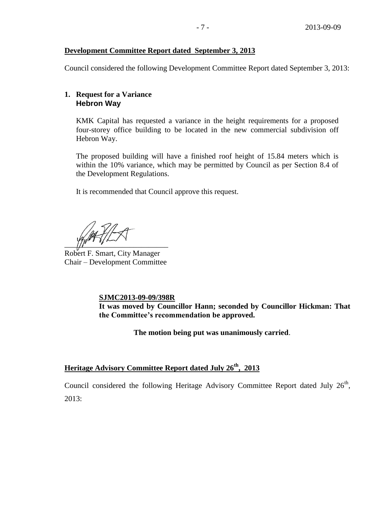# **Development Committee Report dated September 3, 2013**

Council considered the following Development Committee Report dated September 3, 2013:

# **1. Request for a Variance Hebron Way**

KMK Capital has requested a variance in the height requirements for a proposed four-storey office building to be located in the new commercial subdivision off Hebron Way.

The proposed building will have a finished roof height of 15.84 meters which is within the 10% variance, which may be permitted by Council as per Section 8.4 of the Development Regulations.

It is recommended that Council approve this request.

 $\frac{1}{2}$ 

Robert F. Smart, City Manager Chair – Development Committee

**SJMC2013-09-09/398R**

**It was moved by Councillor Hann; seconded by Councillor Hickman: That the Committee's recommendation be approved.**

**The motion being put was unanimously carried**.

**Heritage Advisory Committee Report dated July 26th, 2013**

Council considered the following Heritage Advisory Committee Report dated July  $26<sup>th</sup>$ ,  $2013:$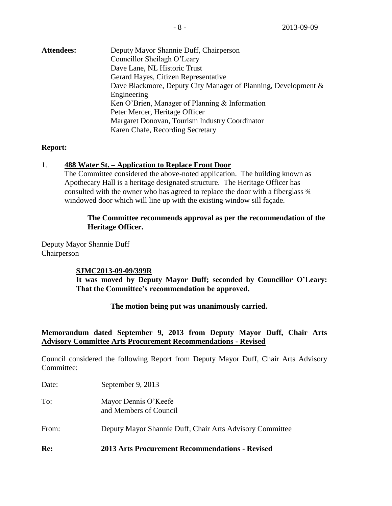| <b>Attendees:</b> | Deputy Mayor Shannie Duff, Chairperson                         |
|-------------------|----------------------------------------------------------------|
|                   | Councillor Sheilagh O'Leary                                    |
|                   | Dave Lane, NL Historic Trust                                   |
|                   | Gerard Hayes, Citizen Representative                           |
|                   | Dave Blackmore, Deputy City Manager of Planning, Development & |
|                   | Engineering                                                    |
|                   | Ken O'Brien, Manager of Planning & Information                 |
|                   | Peter Mercer, Heritage Officer                                 |
|                   | Margaret Donovan, Tourism Industry Coordinator                 |
|                   | Karen Chafe, Recording Secretary                               |

# **Report:**

## 1. **488 Water St. – Application to Replace Front Door**

The Committee considered the above-noted application. The building known as Apothecary Hall is a heritage designated structure. The Heritage Officer has consulted with the owner who has agreed to replace the door with a fiberglass ¾ windowed door which will line up with the existing window sill façade.

# **The Committee recommends approval as per the recommendation of the Heritage Officer.**

Deputy Mayor Shannie Duff Chairperson

#### **SJMC2013-09-09/399R**

**It was moved by Deputy Mayor Duff; seconded by Councillor O'Leary: That the Committee's recommendation be approved.**

**The motion being put was unanimously carried.**

# **Memorandum dated September 9, 2013 from Deputy Mayor Duff, Chair Arts Advisory Committee Arts Procurement Recommendations - Revised**

Council considered the following Report from Deputy Mayor Duff, Chair Arts Advisory Committee:

| Re:   | 2013 Arts Procurement Recommendations - Revised          |
|-------|----------------------------------------------------------|
| From: | Deputy Mayor Shannie Duff, Chair Arts Advisory Committee |
| To:   | Mayor Dennis O'Keefe<br>and Members of Council           |
| Date: | September 9, 2013                                        |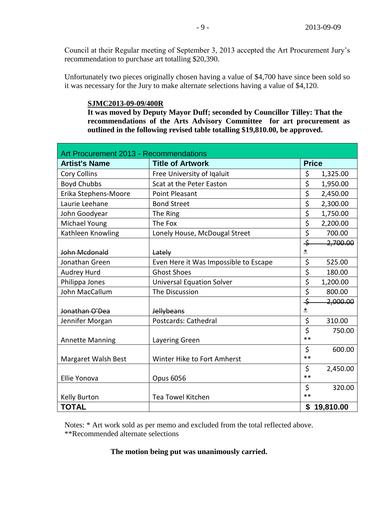Council at their Regular meeting of September 3, 2013 accepted the Art Procurement Jury's recommendation to purchase art totalling \$20,390.

Unfortunately two pieces originally chosen having a value of \$4,700 have since been sold so it was necessary for the Jury to make alternate selections having a value of \$4,120.

## **SJMC2013-09-09/400R**

**It was moved by Deputy Mayor Duff; seconded by Councillor Tilley: That the recommendations of the Arts Advisory Committee for art procurement as outlined in the following revised table totalling \$19,810.00, be approved.** 

| Art Procurement 2013 - Recommendations |                                       |                  |              |  |  |
|----------------------------------------|---------------------------------------|------------------|--------------|--|--|
| <b>Artist's Name</b>                   | <b>Title of Artwork</b>               |                  | <b>Price</b> |  |  |
| <b>Cory Collins</b>                    | Free University of Iqaluit            | \$               | 1,325.00     |  |  |
| <b>Boyd Chubbs</b>                     | Scat at the Peter Easton              | \$               | 1,950.00     |  |  |
| Erika Stephens-Moore                   | Point Pleasant                        | $\overline{\xi}$ | 2,450.00     |  |  |
| Laurie Leehane                         | <b>Bond Street</b>                    | \$               | 2,300.00     |  |  |
| John Goodyear                          | The Ring                              | \$               | 1,750.00     |  |  |
| <b>Michael Young</b>                   | The Fox                               | \$               | 2,200.00     |  |  |
| Kathleen Knowling                      | Lonely House, McDougal Street         | $\overline{\xi}$ | 700.00       |  |  |
|                                        |                                       | $\div$           | 2,700.00     |  |  |
| John Mcdonald                          | Lately                                | $\pmb{\ast}$     |              |  |  |
| Jonathan Green                         | Even Here it Was Impossible to Escape | \$               | 525.00       |  |  |
| Audrey Hurd                            | <b>Ghost Shoes</b>                    | $\overline{\xi}$ | 180.00       |  |  |
| Philippa Jones                         | <b>Universal Equation Solver</b>      | $\overline{\xi}$ | 1,200.00     |  |  |
| John MacCallum                         | The Discussion                        | \$               | 800.00       |  |  |
|                                        |                                       | $\div$           | 2,000.00     |  |  |
| Jonathan O'Dea                         | <b>Jellybeans</b>                     | 초                |              |  |  |
| Jennifer Morgan                        | Postcards: Cathedral                  | \$               | 310.00       |  |  |
|                                        |                                       | $\overline{\xi}$ | 750.00       |  |  |
| <b>Annette Manning</b>                 | Layering Green                        | $**$             |              |  |  |
|                                        |                                       | \$               | 600.00       |  |  |
| Margaret Walsh Best                    | Winter Hike to Fort Amherst           | **               |              |  |  |
|                                        |                                       | \$               | 2,450.00     |  |  |
| Ellie Yonova                           | <b>Opus 6056</b>                      | $**$             |              |  |  |
|                                        |                                       | \$               | 320.00       |  |  |
| <b>Kelly Burton</b>                    | Tea Towel Kitchen                     | **               |              |  |  |
| <b>TOTAL</b>                           |                                       |                  | \$19,810.00  |  |  |

Notes: \* Art work sold as per memo and excluded from the total reflected above. \*\*Recommended alternate selections

## **The motion being put was unanimously carried.**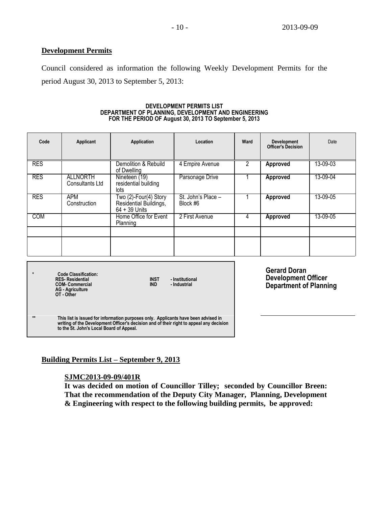#### **Development Permits**

Council considered as information the following Weekly Development Permits for the period August 30, 2013 to September 5, 2013:

#### **DEVELOPMENT PERMITS LIST DEPARTMENT OF PLANNING, DEVELOPMENT AND ENGINEERING FOR THE PERIOD OF August 30, 2013 TO September 5, 2013**

| Code       | Applicant                          | Application                                                        | Location                       | Ward | <b>Development</b><br><b>Officer's Decision</b> | Date     |
|------------|------------------------------------|--------------------------------------------------------------------|--------------------------------|------|-------------------------------------------------|----------|
| <b>RES</b> |                                    | Demolition & Rebuild<br>of Dwelling                                | 4 Empire Avenue                |      | <b>Approved</b>                                 | 13-09-03 |
| <b>RES</b> | <b>ALLNORTH</b><br>Consultants Ltd | Nineteen (19)<br>residential building<br>lots                      | Parsonage Drive                |      | Approved                                        | 13-09-04 |
| <b>RES</b> | APM<br>Construction                | Two (2)-Four(4) Story<br>Residential Buildings,<br>$64 + 39$ Units | St. John's Place -<br>Block #6 |      | Approved                                        | 13-09-05 |
| <b>COM</b> |                                    | Home Office for Event<br>Planning                                  | 2 First Avenue                 | 4    | Approved                                        | 13-09-05 |
|            |                                    |                                                                    |                                |      |                                                 |          |
|            |                                    |                                                                    |                                |      |                                                 |          |

| ÷    | <b>Code Classification:</b><br><b>RES-Residential</b><br><b>COM-Commercial</b><br><b>AG</b> - Agriculture<br>OT - Other                                                                                                   | <b>INST</b><br><b>IND</b> | - Institutional<br>- Industrial |
|------|---------------------------------------------------------------------------------------------------------------------------------------------------------------------------------------------------------------------------|---------------------------|---------------------------------|
| $**$ | This list is issued for information purposes only. Applicants have been advised in<br>writing of the Development Officer's decision and of their right to appeal any decision<br>to the St. John's Local Board of Appeal. |                           |                                 |

**Gerard Doran Development Officer Department of Planning**

#### **Building Permits List – September 9, 2013**

#### **SJMC2013-09-09/401R**

**It was decided on motion of Councillor Tilley; seconded by Councillor Breen: That the recommendation of the Deputy City Manager, Planning, Development & Engineering with respect to the following building permits, be approved:**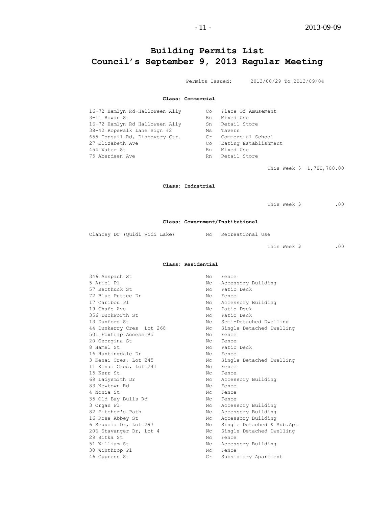# **Building Permits List Council's September 9, 2013 Regular Meeting**

Permits Issued: 2013/08/29 To 2013/09/04

**Class: Commercial**

| 16-72 Hamlyn Rd-Halloween Ally | Co i | Place Of Amusement   |
|--------------------------------|------|----------------------|
| 3-11 Rowan St                  | Rn   | Mixed Use            |
| 16-72 Hamlyn Rd Halloween Ally | Sn   | Retail Store         |
| 38-42 Ropewalk Lane Sign #2    | Ms   | Tavern               |
| 655 Topsail Rd, Discovery Ctr. | Cr   | Commercial School    |
| 27 Elizabeth Ave               | Co.  | Eating Establishment |
| 454 Water St                   | Rn.  | Mixed Use            |
| 75 Aberdeen Ave                | Rn   | Retail Store         |

This Week \$ 1,780,700.00

#### **Class: Industrial**

This Week \$ .00

#### **Class: Government/Institutional**

Clancey Dr (Quidi Vidi Lake) Nc Recreational Use

This Week \$ .00

#### **Class: Residential**

| 346 Anspach St           | Nс             | Fence                     |
|--------------------------|----------------|---------------------------|
| 5 Ariel Pl               | N <sub>C</sub> | Accessory Building        |
| 57 Beothuck St.          | Nc.            | Patio Deck                |
| 72 Blue Puttee Dr        | Nc             | Fence                     |
| 17 Caribou Pl            | Nc             | Accessory Building        |
| 19 Chafe Ave             | $N_{\rm C}$    | Patio Deck                |
| 356 Duckworth St         | Nc             | Patio Deck                |
| 13 Dunford St.           | Nc             | Semi-Detached Dwelling    |
| 44 Dunkerry Cres Lot 268 | $N_{\rm C}$    | Single Detached Dwelling  |
| 501 Foxtrap Access Rd    | Nc.            | Fence                     |
| 20 Georgina St           | Nc             | Fence                     |
| 8 Hamel St.              |                | No Patio Deck             |
| 16 Huntingdale Dr        | Nc             | Fence                     |
| 3 Kenai Cres, Lot 245    | Nc             | Single Detached Dwelling  |
| 11 Kenai Cres, Lot 241   | Nc             | Fence                     |
| 15 Kerr St               | Nc             | Fence                     |
| 69 Ladysmith Dr          | $N_{\rm C}$    | Accessory Building        |
| 83 Newtown Rd            | Nc.            | Fence                     |
| 4 Nonia St               | $N_{\rm C}$    | Fence                     |
| 35 Old Bay Bulls Rd      | Nc             | Fence                     |
| 3 Organ Pl               | $N_{\rm C}$    | Accessory Building        |
| 82 Pitcher's Path        | $N_{\rm C}$    | Accessory Building        |
| 16 Rose Abbey St         | Nc             | Accessory Building        |
| 6 Sequoia Dr, Lot 297    | Nc             | Single Detached & Sub.Apt |
| 206 Stavanger Dr, Lot 4  | Nc             | Single Detached Dwelling  |
| 29 Sitka St              | Nc             | Fence                     |
| 51 William St            | Nc             | Accessory Building        |
| 30 Winthrop Pl           | Nc             | Fence                     |
| 46 Cypress St            | Cr             | Subsidiary Apartment      |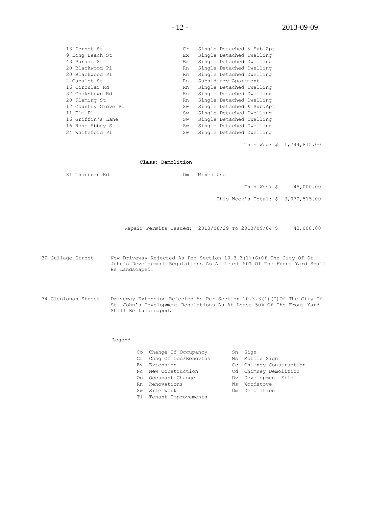| 13 Dorset St        | Cr. | Single Detached & Sub.Apt |
|---------------------|-----|---------------------------|
| 9 Long Beach St     | Ex. | Single Detached Dwelling  |
| 43 Parade St        | Ex. | Single Detached Dwelling  |
| 20 Blackwood Pl     | Rn  | Single Detached Dwelling  |
| 20 Blackwood Pl     | Rn  | Single Detached Dwelling  |
| 2 Capulet St        | Rn  | Subsidiary Apartment      |
| 16 Circular Rd      | Rn  | Single Detached Dwelling  |
| 32 Cookstown Rd     | Rn  | Single Detached Dwelling  |
| 20 Fleming St       | Rn  | Single Detached Dwelling  |
| 17 Country Grove Pl | Sw  | Single Detached & Sub.Apt |
| 11 Elm Pl           | Sw  | Single Detached Dwelling  |
| 16 Griffin's Lane   | Sw  | Single Detached Dwelling  |
| 16 Rose Abbey St    | Sw  | Single Detached Dwelling  |
| 24 Whiteford Pl     | Sw  | Single Detached Dwelling  |
|                     |     |                           |

This Week \$ 1,244,815.00

**Class: Demolition**

81 Thorburn Rd **DM** Dm Mixed Use

This Week \$ 45,000.00

This Week's Total: \$ 3,070,515.00

Repair Permits Issued: 2013/08/29 To 2013/09/04 \$ 43,000.00

30 Gullage Street New Driveway Rejected As Per Section 10.3.3(1)(G)Of The City Of St. John's Development Regulations As At Least 50% Of The Front Yard Shall Be Landscaped.

34 Glenlonan Street Driveway Extension Rejected As Per Section 10.3.3(1)(G)Of The City Of St. John's Development Regulations As At Least 50% Of The Front Yard Shall Be Landscaped.

#### Legend

|     | Co Change Of Occupancy  |    | Sn Sign                 |
|-----|-------------------------|----|-------------------------|
|     | Cr Chng Of Occ/Renovtns |    | Ms Mobile Sign          |
|     | Ex Extension            |    | Cc Chimney Construction |
|     | No New Construction     |    | Cd Chimney Demolition   |
|     | Oc Occupant Change      |    | Dv Development File     |
|     | Rn Renovations          | Ws | Woodstove               |
| Sw. | Site Work               |    | Dm Demolition           |
|     | Ti Tenant Improvements  |    |                         |
|     |                         |    |                         |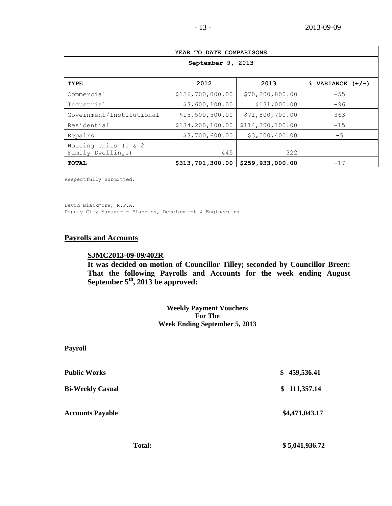| YEAR TO DATE COMPARISONS                  |                  |                   |                      |  |  |  |
|-------------------------------------------|------------------|-------------------|----------------------|--|--|--|
| September 9, 2013                         |                  |                   |                      |  |  |  |
|                                           |                  |                   |                      |  |  |  |
| <b>TYPE</b>                               | 2012             | 2013              | $%$ VARIANCE $(+/-)$ |  |  |  |
| Commercial                                | \$156,700,000.00 | \$70, 200, 800.00 | $-55$                |  |  |  |
| Industrial                                | \$3,600,100.00   | \$131,000.00      | $-96$                |  |  |  |
| Government/Institutional                  | \$15,500,500.00  | \$71,800,700.00   | 363                  |  |  |  |
| Residential                               | \$134,200,100.00 | \$114,300,100.00  | $-15$                |  |  |  |
| Repairs                                   | \$3,700,600.00   | \$3,500,400.00    | $-5$                 |  |  |  |
| Housing Units (1 & 2<br>Family Dwellings) | 445              | 322               |                      |  |  |  |
| <b>TOTAL</b>                              | \$313,701,300.00 | \$259,933,000.00  | $-17$                |  |  |  |

Respectfully Submitted,

David Blackmore, R.P.A. Deputy City Manager – Planning, Development & Engineering

#### **Payrolls and Accounts**

## **SJMC2013-09-09/402R**

**It was decided on motion of Councillor Tilley; seconded by Councillor Breen: That the following Payrolls and Accounts for the week ending August September 5th, 2013 be approved:**

> **Weekly Payment Vouchers For The Week Ending September 5, 2013**

| <b>Payroll</b>          |                  |
|-------------------------|------------------|
| <b>Public Works</b>     | 459,536.41<br>\$ |
| <b>Bi-Weekly Casual</b> | 111,357.14<br>\$ |
| <b>Accounts Payable</b> | \$4,471,043.17   |
|                         |                  |

Total: \$5,041,936.72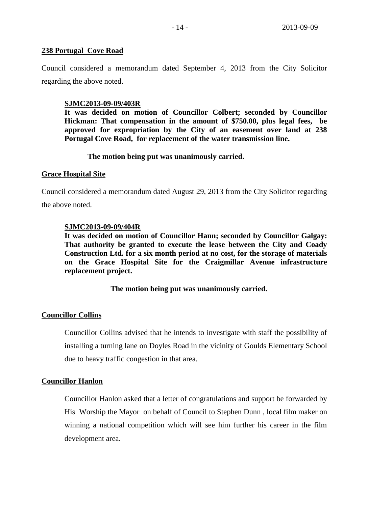## **238 Portugal Cove Road**

Council considered a memorandum dated September 4, 2013 from the City Solicitor regarding the above noted.

## **SJMC2013-09-09/403R**

**It was decided on motion of Councillor Colbert; seconded by Councillor Hickman: That compensation in the amount of \$750.00, plus legal fees, be approved for expropriation by the City of an easement over land at 238 Portugal Cove Road, for replacement of the water transmission line.**

# **The motion being put was unanimously carried.**

## **Grace Hospital Site**

Council considered a memorandum dated August 29, 2013 from the City Solicitor regarding

the above noted.

# **SJMC2013-09-09/404R**

**It was decided on motion of Councillor Hann; seconded by Councillor Galgay: That authority be granted to execute the lease between the City and Coady Construction Ltd. for a six month period at no cost, for the storage of materials on the Grace Hospital Site for the Craigmillar Avenue infrastructure replacement project.**

**The motion being put was unanimously carried.**

# **Councillor Collins**

Councillor Collins advised that he intends to investigate with staff the possibility of installing a turning lane on Doyles Road in the vicinity of Goulds Elementary School due to heavy traffic congestion in that area.

# **Councillor Hanlon**

Councillor Hanlon asked that a letter of congratulations and support be forwarded by His Worship the Mayor on behalf of Council to Stephen Dunn , local film maker on winning a national competition which will see him further his career in the film development area.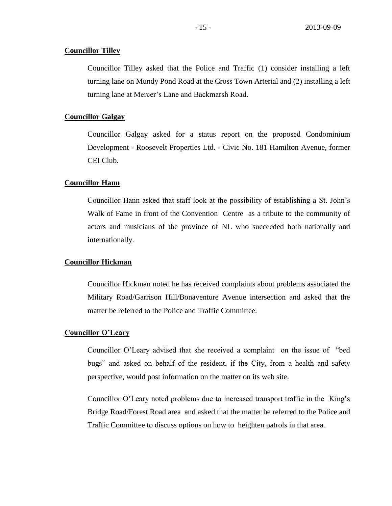#### **Councillor Tilley**

Councillor Tilley asked that the Police and Traffic (1) consider installing a left turning lane on Mundy Pond Road at the Cross Town Arterial and (2) installing a left turning lane at Mercer's Lane and Backmarsh Road.

#### **Councillor Galgay**

Councillor Galgay asked for a status report on the proposed Condominium Development - Roosevelt Properties Ltd. - Civic No. 181 Hamilton Avenue, former CEI Club.

### **Councillor Hann**

Councillor Hann asked that staff look at the possibility of establishing a St. John's Walk of Fame in front of the Convention Centre as a tribute to the community of actors and musicians of the province of NL who succeeded both nationally and internationally.

#### **Councillor Hickman**

Councillor Hickman noted he has received complaints about problems associated the Military Road/Garrison Hill/Bonaventure Avenue intersection and asked that the matter be referred to the Police and Traffic Committee.

#### **Councillor O'Leary**

Councillor O'Leary advised that she received a complaint on the issue of "bed bugs" and asked on behalf of the resident, if the City, from a health and safety perspective, would post information on the matter on its web site.

Councillor O'Leary noted problems due to increased transport traffic in the King's Bridge Road/Forest Road area and asked that the matter be referred to the Police and Traffic Committee to discuss options on how to heighten patrols in that area.